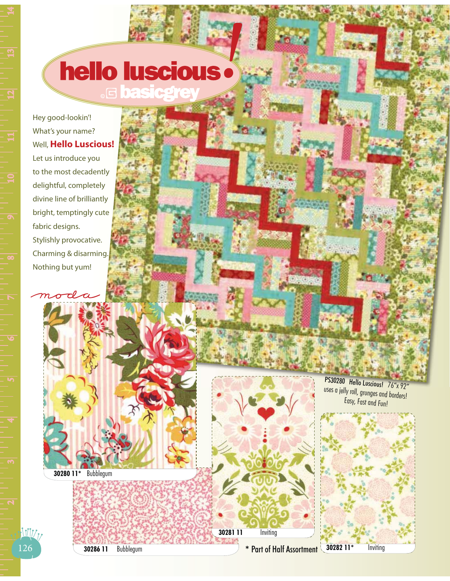## **hello luscious**

## Hey good-lookin'! What's your name? Well, **Hello Luscious!**

Let us introduce you to the most decadently delightful, completely divine line of brilliantly bright, temptingly cute fabric designs. Stylishly provocative. Charming & disarming. Nothing but yum!

 $\tau \ell$ 

**30281 11** Inviting **\*** Part of Half Assortment

PS30280 Hello Luscious! 76"x 92" uses a jelly roll, grunges and borders! Easy, Fast and Fun!



**30286 11** Bubblegum

**30280 11\*** Bubblegum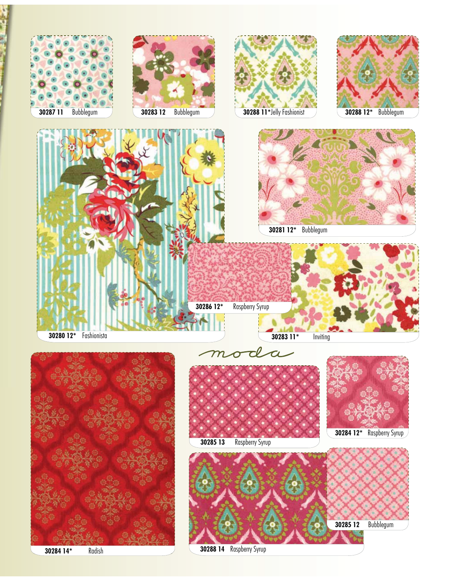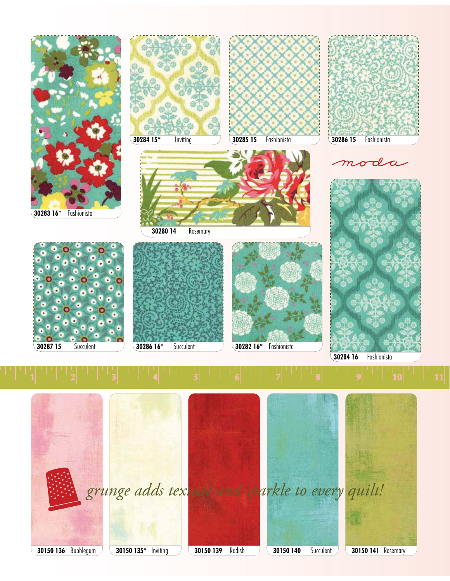

**30150 136** Bubblegum **30150 135\*** Inviting **30150 139** Radish **30150 140** Succulent **30150 141** Rosemary *grunge adds texture and sparkle to every quilt!*